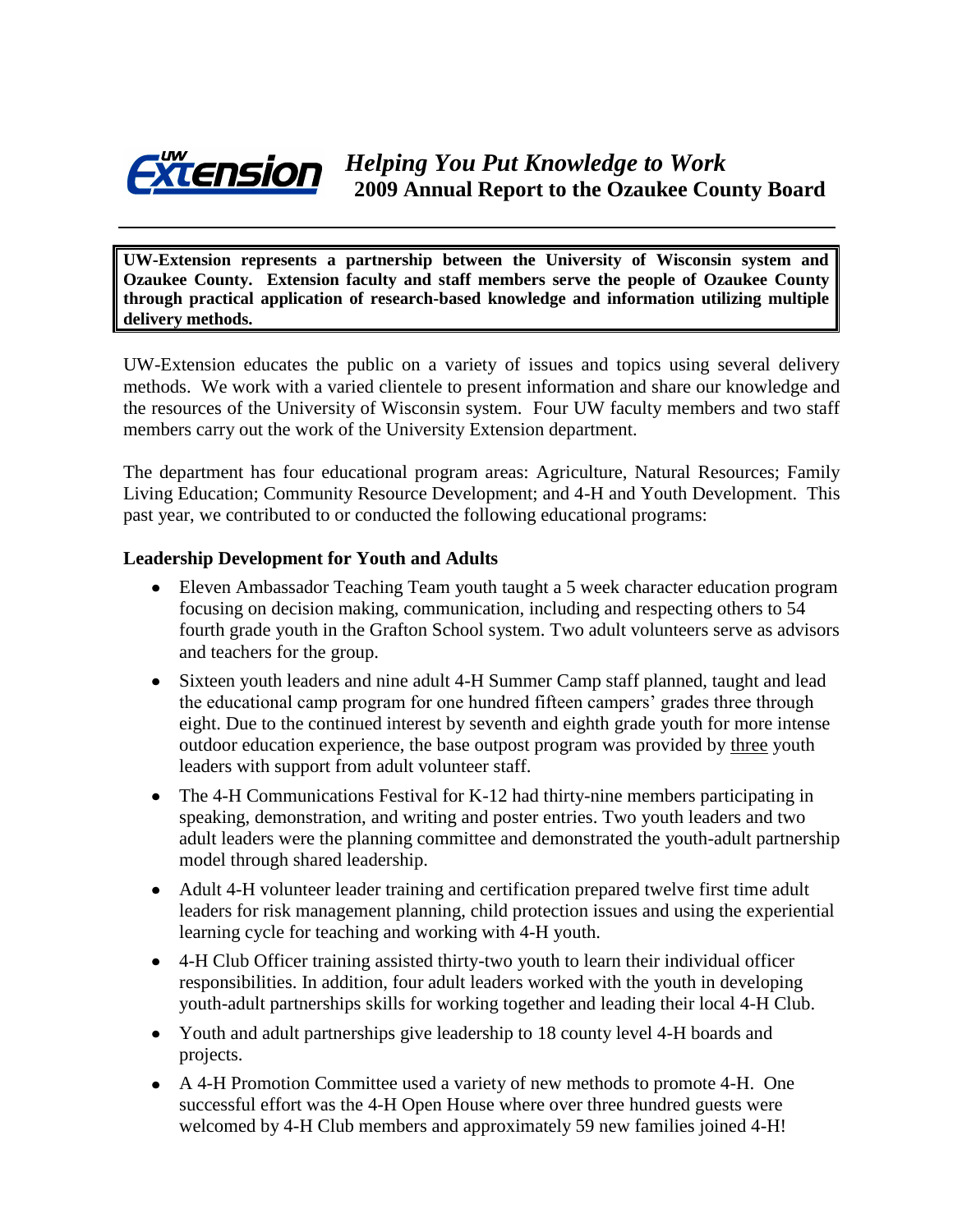

**UW-Extension represents a partnership between the University of Wisconsin system and Ozaukee County. Extension faculty and staff members serve the people of Ozaukee County through practical application of research-based knowledge and information utilizing multiple delivery methods.**

UW-Extension educates the public on a variety of issues and topics using several delivery methods. We work with a varied clientele to present information and share our knowledge and the resources of the University of Wisconsin system. Four UW faculty members and two staff members carry out the work of the University Extension department.

The department has four educational program areas: Agriculture, Natural Resources; Family Living Education; Community Resource Development; and 4-H and Youth Development. This past year, we contributed to or conducted the following educational programs:

#### **Leadership Development for Youth and Adults**

- $\bullet$ Eleven Ambassador Teaching Team youth taught a 5 week character education program focusing on decision making, communication, including and respecting others to 54 fourth grade youth in the Grafton School system. Two adult volunteers serve as advisors and teachers for the group.
- Sixteen youth leaders and nine adult 4-H Summer Camp staff planned, taught and lead the educational camp program for one hundred fifteen campers' grades three through eight. Due to the continued interest by seventh and eighth grade youth for more intense outdoor education experience, the base outpost program was provided by three youth leaders with support from adult volunteer staff.
- The 4-H Communications Festival for K-12 had thirty-nine members participating in  $\bullet$ speaking, demonstration, and writing and poster entries. Two youth leaders and two adult leaders were the planning committee and demonstrated the youth-adult partnership model through shared leadership.
- Adult 4-H volunteer leader training and certification prepared twelve first time adult leaders for risk management planning, child protection issues and using the experiential learning cycle for teaching and working with 4-H youth.
- 4-H Club Officer training assisted thirty-two youth to learn their individual officer responsibilities. In addition, four adult leaders worked with the youth in developing youth-adult partnerships skills for working together and leading their local 4-H Club.
- Youth and adult partnerships give leadership to 18 county level 4-H boards and projects.
- A 4-H Promotion Committee used a variety of new methods to promote 4-H. One successful effort was the 4-H Open House where over three hundred guests were welcomed by 4-H Club members and approximately 59 new families joined 4-H!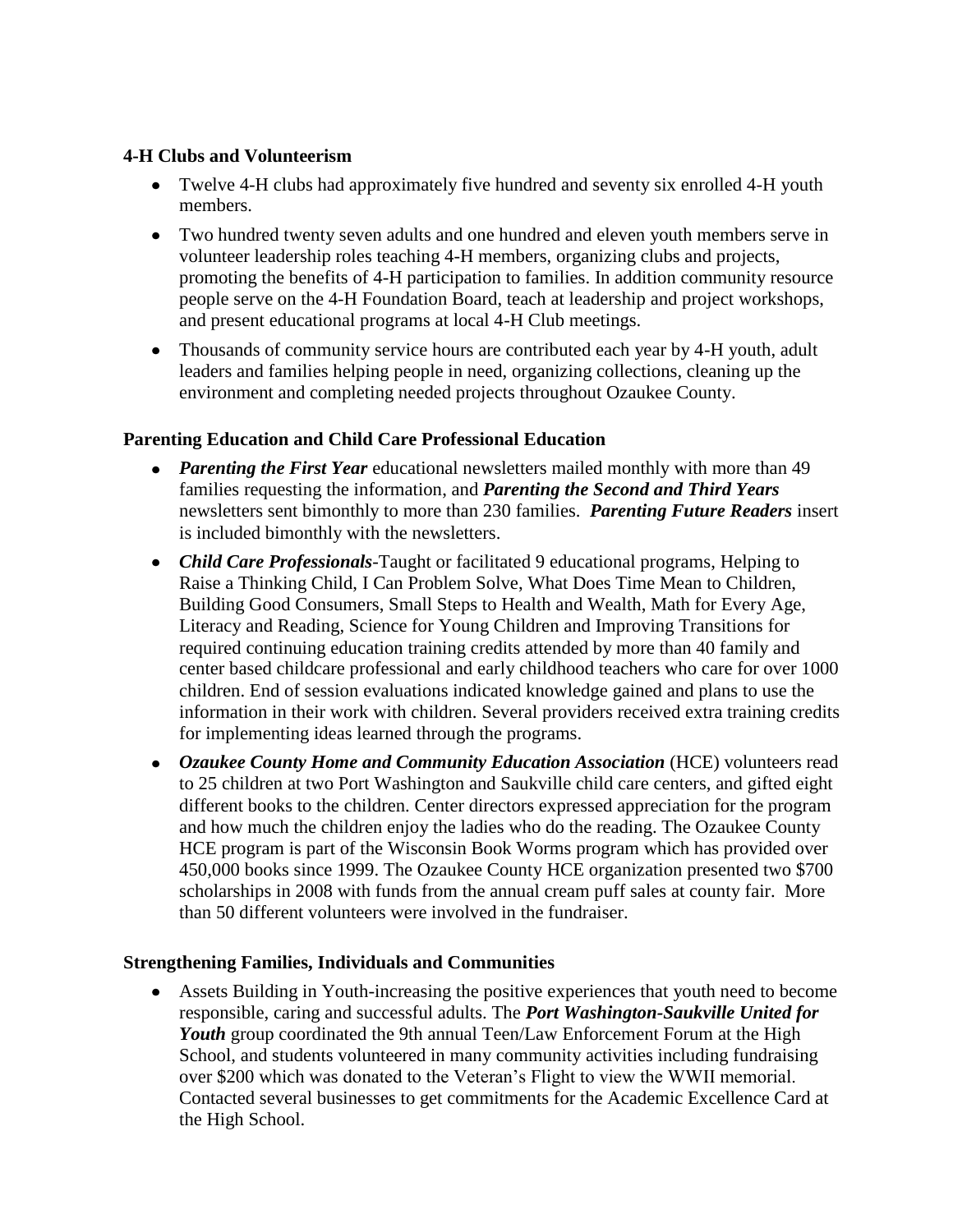#### **4-H Clubs and Volunteerism**

- Twelve 4-H clubs had approximately five hundred and seventy six enrolled 4-H youth members.
- Two hundred twenty seven adults and one hundred and eleven youth members serve in  $\bullet$ volunteer leadership roles teaching 4-H members, organizing clubs and projects, promoting the benefits of 4-H participation to families. In addition community resource people serve on the 4-H Foundation Board, teach at leadership and project workshops, and present educational programs at local 4-H Club meetings.
- Thousands of community service hours are contributed each year by 4-H youth, adult leaders and families helping people in need, organizing collections, cleaning up the environment and completing needed projects throughout Ozaukee County.

# **Parenting Education and Child Care Professional Education**

- *Parenting the First Year* educational newsletters mailed monthly with more than 49 families requesting the information, and *Parenting the Second and Third Years* newsletters sent bimonthly to more than 230 families. *Parenting Future Readers* insert is included bimonthly with the newsletters.
- *Child Care Professionals*-Taught or facilitated 9 educational programs, Helping to Raise a Thinking Child, I Can Problem Solve, What Does Time Mean to Children, Building Good Consumers, Small Steps to Health and Wealth, Math for Every Age, Literacy and Reading, Science for Young Children and Improving Transitions for required continuing education training credits attended by more than 40 family and center based childcare professional and early childhood teachers who care for over 1000 children. End of session evaluations indicated knowledge gained and plans to use the information in their work with children. Several providers received extra training credits for implementing ideas learned through the programs.
- *Ozaukee County Home and Community Education Association* (HCE) volunteers read to 25 children at two Port Washington and Saukville child care centers, and gifted eight different books to the children. Center directors expressed appreciation for the program and how much the children enjoy the ladies who do the reading. The Ozaukee County HCE program is part of the Wisconsin Book Worms program which has provided over 450,000 books since 1999. The Ozaukee County HCE organization presented two \$700 scholarships in 2008 with funds from the annual cream puff sales at county fair. More than 50 different volunteers were involved in the fundraiser.

## **Strengthening Families, Individuals and Communities**

Assets Building in Youth-increasing the positive experiences that youth need to become responsible, caring and successful adults. The *Port Washington-Saukville United for Youth* group coordinated the 9th annual Teen/Law Enforcement Forum at the High School, and students volunteered in many community activities including fundraising over \$200 which was donated to the Veteran's Flight to view the WWII memorial. Contacted several businesses to get commitments for the Academic Excellence Card at the High School.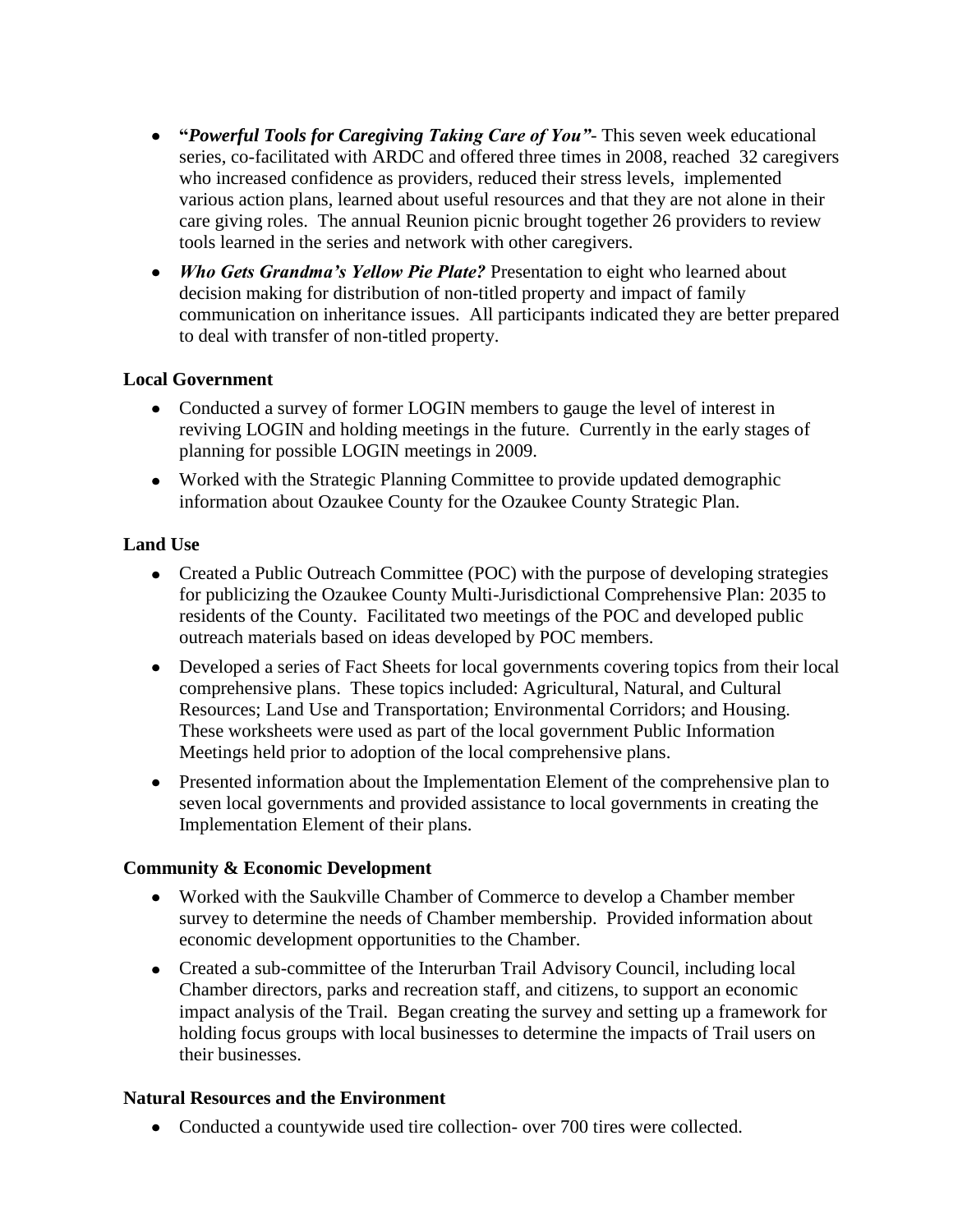- **"***Powerful Tools for Caregiving Taking Care of You"-* This seven week educational series, co-facilitated with ARDC and offered three times in 2008, reached 32 caregivers who increased confidence as providers, reduced their stress levels, implemented various action plans, learned about useful resources and that they are not alone in their care giving roles. The annual Reunion picnic brought together 26 providers to review tools learned in the series and network with other caregivers.
- *Who Gets Grandma's Yellow Pie Plate?* Presentation to eight who learned about decision making for distribution of non-titled property and impact of family communication on inheritance issues. All participants indicated they are better prepared to deal with transfer of non-titled property.

#### **Local Government**

- Conducted a survey of former LOGIN members to gauge the level of interest in reviving LOGIN and holding meetings in the future. Currently in the early stages of planning for possible LOGIN meetings in 2009.
- Worked with the Strategic Planning Committee to provide updated demographic information about Ozaukee County for the Ozaukee County Strategic Plan.

## **Land Use**

- Created a Public Outreach Committee (POC) with the purpose of developing strategies for publicizing the Ozaukee County Multi-Jurisdictional Comprehensive Plan: 2035 to residents of the County. Facilitated two meetings of the POC and developed public outreach materials based on ideas developed by POC members.
- Developed a series of Fact Sheets for local governments covering topics from their local comprehensive plans. These topics included: Agricultural, Natural, and Cultural Resources; Land Use and Transportation; Environmental Corridors; and Housing. These worksheets were used as part of the local government Public Information Meetings held prior to adoption of the local comprehensive plans.
- Presented information about the Implementation Element of the comprehensive plan to seven local governments and provided assistance to local governments in creating the Implementation Element of their plans.

## **Community & Economic Development**

- Worked with the Saukville Chamber of Commerce to develop a Chamber member survey to determine the needs of Chamber membership. Provided information about economic development opportunities to the Chamber.
- Created a sub-committee of the Interurban Trail Advisory Council, including local Chamber directors, parks and recreation staff, and citizens, to support an economic impact analysis of the Trail. Began creating the survey and setting up a framework for holding focus groups with local businesses to determine the impacts of Trail users on their businesses.

## **Natural Resources and the Environment**

• Conducted a countywide used tire collection- over 700 tires were collected.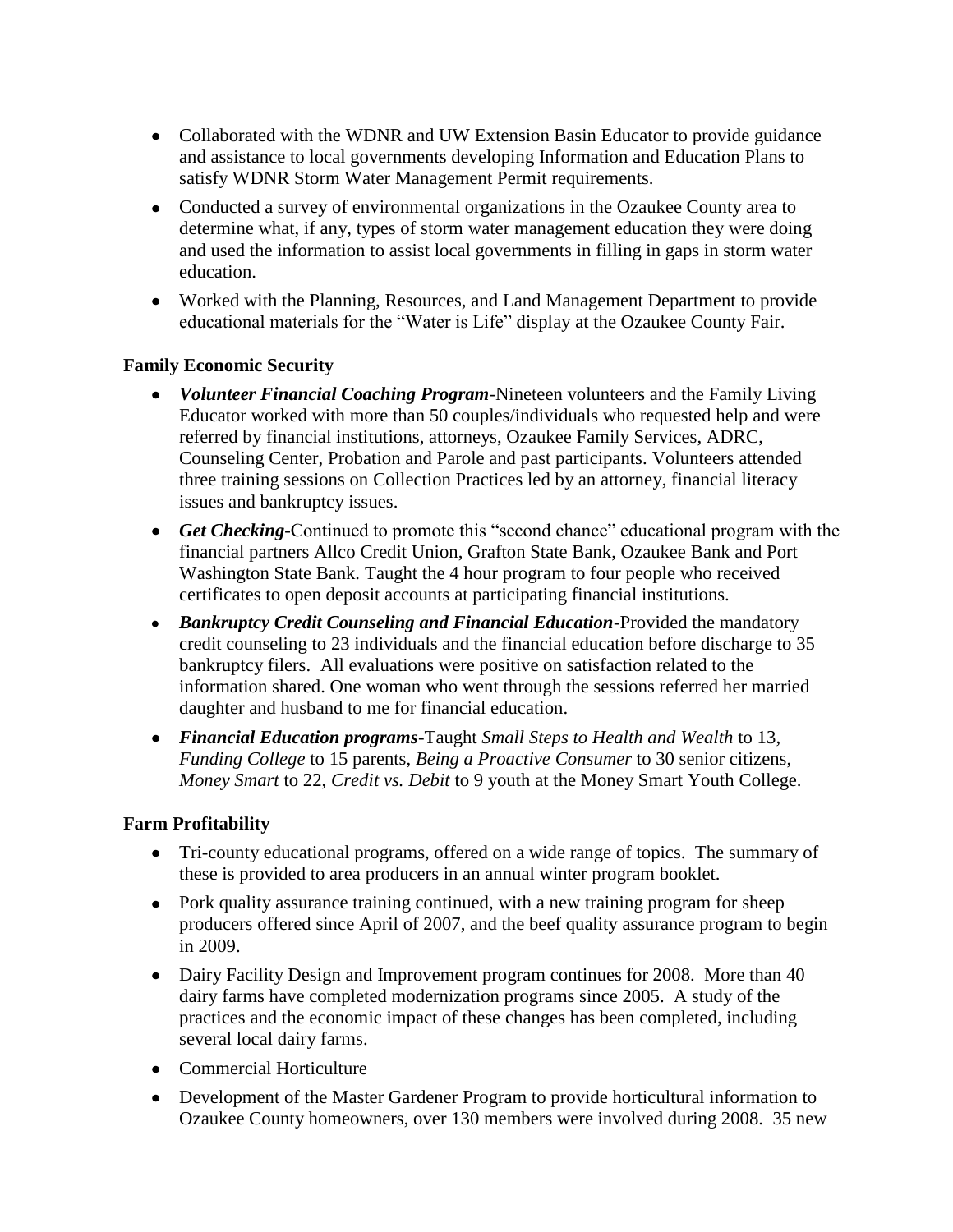- Collaborated with the WDNR and UW Extension Basin Educator to provide guidance and assistance to local governments developing Information and Education Plans to satisfy WDNR Storm Water Management Permit requirements.
- Conducted a survey of environmental organizations in the Ozaukee County area to determine what, if any, types of storm water management education they were doing and used the information to assist local governments in filling in gaps in storm water education.
- Worked with the Planning, Resources, and Land Management Department to provide educational materials for the "Water is Life" display at the Ozaukee County Fair.

## **Family Economic Security**

- *Volunteer Financial Coaching Program*-Nineteen volunteers and the Family Living Educator worked with more than 50 couples/individuals who requested help and were referred by financial institutions, attorneys, Ozaukee Family Services, ADRC, Counseling Center, Probation and Parole and past participants. Volunteers attended three training sessions on Collection Practices led by an attorney, financial literacy issues and bankruptcy issues.
- Get Checking-Continued to promote this "second chance" educational program with the financial partners Allco Credit Union, Grafton State Bank, Ozaukee Bank and Port Washington State Bank. Taught the 4 hour program to four people who received certificates to open deposit accounts at participating financial institutions.
- *Bankruptcy Credit Counseling and Financial Education*-Provided the mandatory credit counseling to 23 individuals and the financial education before discharge to 35 bankruptcy filers. All evaluations were positive on satisfaction related to the information shared. One woman who went through the sessions referred her married daughter and husband to me for financial education.
- *Financial Education programs*-Taught *Small Steps to Health and Wealth* to 13, *Funding College* to 15 parents, *Being a Proactive Consumer* to 30 senior citizens, *Money Smart* to 22, *Credit vs. Debit* to 9 youth at the Money Smart Youth College.

## **Farm Profitability**

- Tri-county educational programs, offered on a wide range of topics. The summary of these is provided to area producers in an annual winter program booklet.
- Pork quality assurance training continued, with a new training program for sheep producers offered since April of 2007, and the beef quality assurance program to begin in 2009.
- Dairy Facility Design and Improvement program continues for 2008. More than 40 dairy farms have completed modernization programs since 2005. A study of the practices and the economic impact of these changes has been completed, including several local dairy farms.
- Commercial Horticulture
- Development of the Master Gardener Program to provide horticultural information to Ozaukee County homeowners, over 130 members were involved during 2008. 35 new